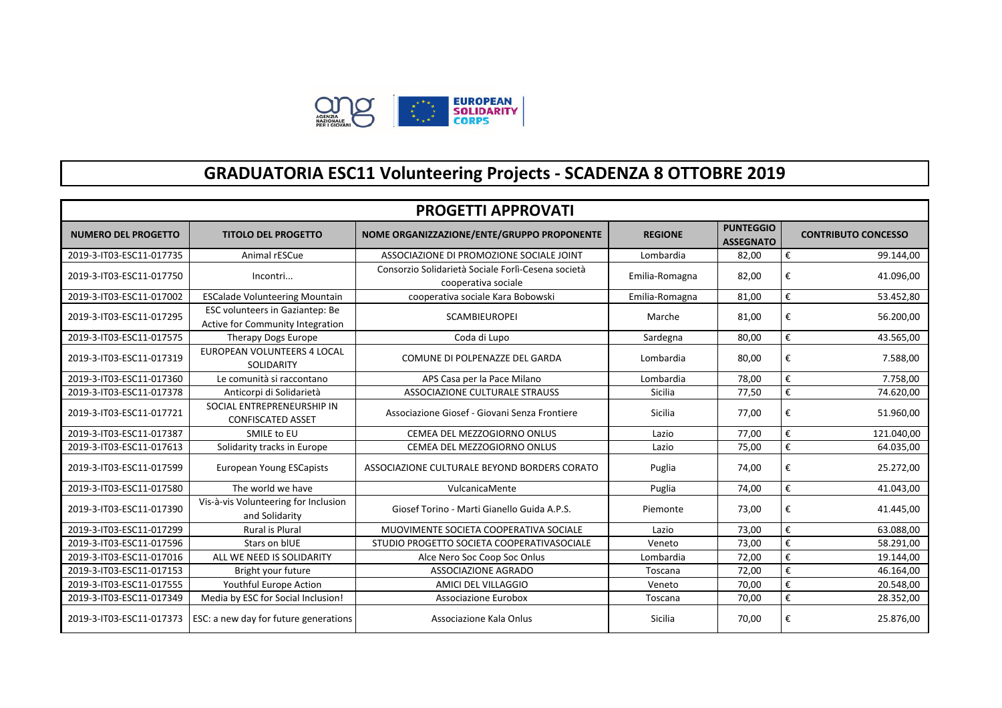

## **GRADUATORIA ESC11 Volunteering Projects - SCADENZA 8 OTTOBRE 2019**

| <b>PROGETTI APPROVATI</b>  |                                                                     |                                                                           |                |                                      |                                       |  |  |
|----------------------------|---------------------------------------------------------------------|---------------------------------------------------------------------------|----------------|--------------------------------------|---------------------------------------|--|--|
| <b>NUMERO DEL PROGETTO</b> | <b>TITOLO DEL PROGETTO</b>                                          | NOME ORGANIZZAZIONE/ENTE/GRUPPO PROPONENTE                                | <b>REGIONE</b> | <b>PUNTEGGIO</b><br><b>ASSEGNATO</b> | <b>CONTRIBUTO CONCESSO</b>            |  |  |
| 2019-3-IT03-ESC11-017735   | Animal rESCue                                                       | ASSOCIAZIONE DI PROMOZIONE SOCIALE JOINT                                  | Lombardia      | 82,00                                | €<br>99.144,00                        |  |  |
| 2019-3-IT03-ESC11-017750   | Incontri                                                            | Consorzio Solidarietà Sociale Forlì-Cesena società<br>cooperativa sociale | Emilia-Romagna | 82,00                                | €<br>41.096,00                        |  |  |
| 2019-3-IT03-ESC11-017002   | <b>ESCalade Volunteering Mountain</b>                               | cooperativa sociale Kara Bobowski                                         | Emilia-Romagna | 81,00                                | €<br>53.452,80                        |  |  |
| 2019-3-IT03-ESC11-017295   | ESC volunteers in Gaziantep: Be<br>Active for Community Integration | <b>SCAMBIEUROPEI</b>                                                      | Marche         | 81,00                                | €<br>56.200,00                        |  |  |
| 2019-3-IT03-ESC11-017575   | <b>Therapy Dogs Europe</b>                                          | Coda di Lupo                                                              | Sardegna       | 80,00                                | €<br>43.565,00                        |  |  |
| 2019-3-IT03-ESC11-017319   | <b>EUROPEAN VOLUNTEERS 4 LOCAL</b><br>SOLIDARITY                    | COMUNE DI POLPENAZZE DEL GARDA                                            | Lombardia      | 80,00                                | €<br>7.588,00                         |  |  |
| 2019-3-IT03-ESC11-017360   | Le comunità si raccontano                                           | APS Casa per la Pace Milano                                               | Lombardia      | 78,00                                | €<br>7.758,00                         |  |  |
| 2019-3-IT03-ESC11-017378   | Anticorpi di Solidarietà                                            | ASSOCIAZIONE CULTURALE STRAUSS                                            | Sicilia        | 77,50                                | €<br>74.620,00                        |  |  |
| 2019-3-IT03-ESC11-017721   | SOCIAL ENTREPRENEURSHIP IN<br><b>CONFISCATED ASSET</b>              | Associazione Giosef - Giovani Senza Frontiere                             | Sicilia        | 77,00                                | €<br>51.960,00                        |  |  |
| 2019-3-IT03-ESC11-017387   | SMILE to EU                                                         | CEMEA DEL MEZZOGIORNO ONLUS                                               | Lazio          | 77,00                                | $\boldsymbol{\epsilon}$<br>121.040,00 |  |  |
| 2019-3-IT03-ESC11-017613   | Solidarity tracks in Europe                                         | CEMEA DEL MEZZOGIORNO ONLUS                                               | Lazio          | 75,00                                | €<br>64.035,00                        |  |  |
| 2019-3-IT03-ESC11-017599   | <b>European Young ESCapists</b>                                     | ASSOCIAZIONE CULTURALE BEYOND BORDERS CORATO                              | Puglia         | 74,00                                | €<br>25.272,00                        |  |  |
| 2019-3-IT03-ESC11-017580   | The world we have                                                   | VulcanicaMente                                                            | Puglia         | 74,00                                | €<br>41.043,00                        |  |  |
| 2019-3-IT03-ESC11-017390   | Vis-à-vis Volunteering for Inclusion<br>and Solidarity              | Giosef Torino - Marti Gianello Guida A.P.S.                               | Piemonte       | 73,00                                | €<br>41.445,00                        |  |  |
| 2019-3-IT03-ESC11-017299   | <b>Rural is Plural</b>                                              | MUOVIMENTE SOCIETA COOPERATIVA SOCIALE                                    | Lazio          | 73,00                                | €<br>63.088,00                        |  |  |
| 2019-3-IT03-ESC11-017596   | Stars on bIUE                                                       | STUDIO PROGETTO SOCIETA COOPERATIVASOCIALE                                | Veneto         | 73,00                                | $\boldsymbol{\epsilon}$<br>58.291,00  |  |  |
| 2019-3-IT03-ESC11-017016   | ALL WE NEED IS SOLIDARITY                                           | Alce Nero Soc Coop Soc Onlus                                              | Lombardia      | 72,00                                | €<br>19.144,00                        |  |  |
| 2019-3-IT03-ESC11-017153   | Bright your future                                                  | ASSOCIAZIONE AGRADO                                                       | Toscana        | 72,00                                | €<br>46.164,00                        |  |  |
| 2019-3-IT03-ESC11-017555   | Youthful Europe Action                                              | AMICI DEL VILLAGGIO                                                       | Veneto         | 70,00                                | €<br>20.548,00                        |  |  |
| 2019-3-IT03-ESC11-017349   | Media by ESC for Social Inclusion!                                  | <b>Associazione Eurobox</b>                                               | Toscana        | 70,00                                | €<br>28.352,00                        |  |  |
| 2019-3-IT03-ESC11-017373   | ESC: a new day for future generations                               | Associazione Kala Onlus                                                   | <b>Sicilia</b> | 70,00                                | €<br>25.876,00                        |  |  |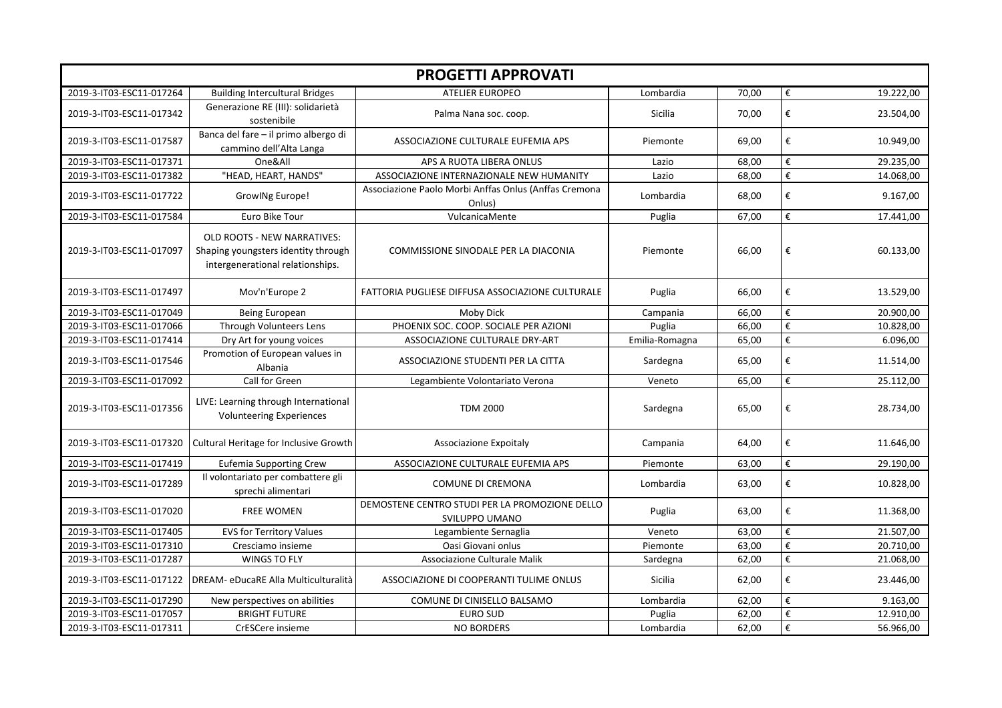| <b>PROGETTI APPROVATI</b> |                                                                                                               |                                                                  |                |       |                  |           |  |
|---------------------------|---------------------------------------------------------------------------------------------------------------|------------------------------------------------------------------|----------------|-------|------------------|-----------|--|
| 2019-3-IT03-ESC11-017264  | <b>Building Intercultural Bridges</b>                                                                         | <b>ATELIER EUROPEO</b>                                           | Lombardia      | 70,00 | $\pmb{\epsilon}$ | 19.222,00 |  |
| 2019-3-IT03-ESC11-017342  | Generazione RE (III): solidarietà<br>sostenibile                                                              | Palma Nana soc. coop.                                            | <b>Sicilia</b> | 70,00 | €                | 23.504,00 |  |
| 2019-3-IT03-ESC11-017587  | Banca del fare - il primo albergo di<br>cammino dell'Alta Langa                                               | ASSOCIAZIONE CULTURALE EUFEMIA APS                               | Piemonte       | 69,00 | €                | 10.949,00 |  |
| 2019-3-IT03-ESC11-017371  | One&All                                                                                                       | APS A RUOTA LIBERA ONLUS                                         | Lazio          | 68,00 | €                | 29.235,00 |  |
| 2019-3-IT03-ESC11-017382  | "HEAD, HEART, HANDS"                                                                                          | ASSOCIAZIONE INTERNAZIONALE NEW HUMANITY                         | Lazio          | 68,00 | €                | 14.068,00 |  |
| 2019-3-IT03-ESC11-017722  | GrowlNg Europe!                                                                                               | Associazione Paolo Morbi Anffas Onlus (Anffas Cremona<br>Onlus)  | Lombardia      | 68,00 | €                | 9.167,00  |  |
| 2019-3-IT03-ESC11-017584  | Euro Bike Tour                                                                                                | VulcanicaMente                                                   | Puglia         | 67,00 | €                | 17.441,00 |  |
| 2019-3-IT03-ESC11-017097  | <b>OLD ROOTS - NEW NARRATIVES:</b><br>Shaping youngsters identity through<br>intergenerational relationships. | COMMISSIONE SINODALE PER LA DIACONIA                             | Piemonte       | 66,00 | €                | 60.133,00 |  |
| 2019-3-IT03-ESC11-017497  | Mov'n'Europe 2                                                                                                | FATTORIA PUGLIESE DIFFUSA ASSOCIAZIONE CULTURALE                 | Puglia         | 66,00 | €                | 13.529,00 |  |
| 2019-3-IT03-ESC11-017049  | Being European                                                                                                | Moby Dick                                                        | Campania       | 66,00 | €                | 20.900,00 |  |
| 2019-3-IT03-ESC11-017066  | Through Volunteers Lens                                                                                       | PHOENIX SOC. COOP. SOCIALE PER AZIONI                            | Puglia         | 66,00 | €                | 10.828,00 |  |
| 2019-3-IT03-ESC11-017414  | Dry Art for young voices                                                                                      | ASSOCIAZIONE CULTURALE DRY-ART                                   | Emilia-Romagna | 65,00 | $\epsilon$       | 6.096,00  |  |
| 2019-3-IT03-ESC11-017546  | Promotion of European values in<br>Albania                                                                    | ASSOCIAZIONE STUDENTI PER LA CITTA                               | Sardegna       | 65,00 | €                | 11.514,00 |  |
| 2019-3-IT03-ESC11-017092  | Call for Green                                                                                                | Legambiente Volontariato Verona                                  | Veneto         | 65,00 | €                | 25.112,00 |  |
| 2019-3-IT03-ESC11-017356  | LIVE: Learning through International<br><b>Volunteering Experiences</b>                                       | <b>TDM 2000</b>                                                  | Sardegna       | 65,00 | €                | 28.734,00 |  |
| 2019-3-IT03-ESC11-017320  | Cultural Heritage for Inclusive Growth                                                                        | Associazione Expoitaly                                           | Campania       | 64,00 | €                | 11.646,00 |  |
| 2019-3-IT03-ESC11-017419  | <b>Eufemia Supporting Crew</b>                                                                                | ASSOCIAZIONE CULTURALE EUFEMIA APS                               | Piemonte       | 63,00 | €                | 29.190,00 |  |
| 2019-3-IT03-ESC11-017289  | Il volontariato per combattere gli<br>sprechi alimentari                                                      | COMUNE DI CREMONA                                                | Lombardia      | 63,00 | €                | 10.828,00 |  |
| 2019-3-IT03-ESC11-017020  | <b>FREE WOMEN</b>                                                                                             | DEMOSTENE CENTRO STUDI PER LA PROMOZIONE DELLO<br>SVILUPPO UMANO | Puglia         | 63,00 | €                | 11.368,00 |  |
| 2019-3-IT03-ESC11-017405  | <b>EVS for Territory Values</b>                                                                               | Legambiente Sernaglia                                            | Veneto         | 63,00 | €                | 21.507,00 |  |
| 2019-3-IT03-ESC11-017310  | Cresciamo insieme                                                                                             | Oasi Giovani onlus                                               | Piemonte       | 63,00 | €                | 20.710,00 |  |
| 2019-3-IT03-ESC11-017287  | <b>WINGS TO FLY</b>                                                                                           | Associazione Culturale Malik                                     | Sardegna       | 62,00 | €                | 21.068,00 |  |
| 2019-3-IT03-ESC11-017122  | DREAM- eDucaRE Alla Multiculturalità                                                                          | ASSOCIAZIONE DI COOPERANTI TULIME ONLUS                          | Sicilia        | 62,00 | €                | 23.446,00 |  |
| 2019-3-IT03-ESC11-017290  | New perspectives on abilities                                                                                 | COMUNE DI CINISELLO BALSAMO                                      | Lombardia      | 62,00 | €                | 9.163,00  |  |
| 2019-3-IT03-ESC11-017057  | <b>BRIGHT FUTURE</b>                                                                                          | <b>EURO SUD</b>                                                  | Puglia         | 62,00 | €                | 12.910,00 |  |
| 2019-3-IT03-ESC11-017311  | CrESCere insieme                                                                                              | <b>NO BORDERS</b>                                                | Lombardia      | 62,00 | €                | 56.966,00 |  |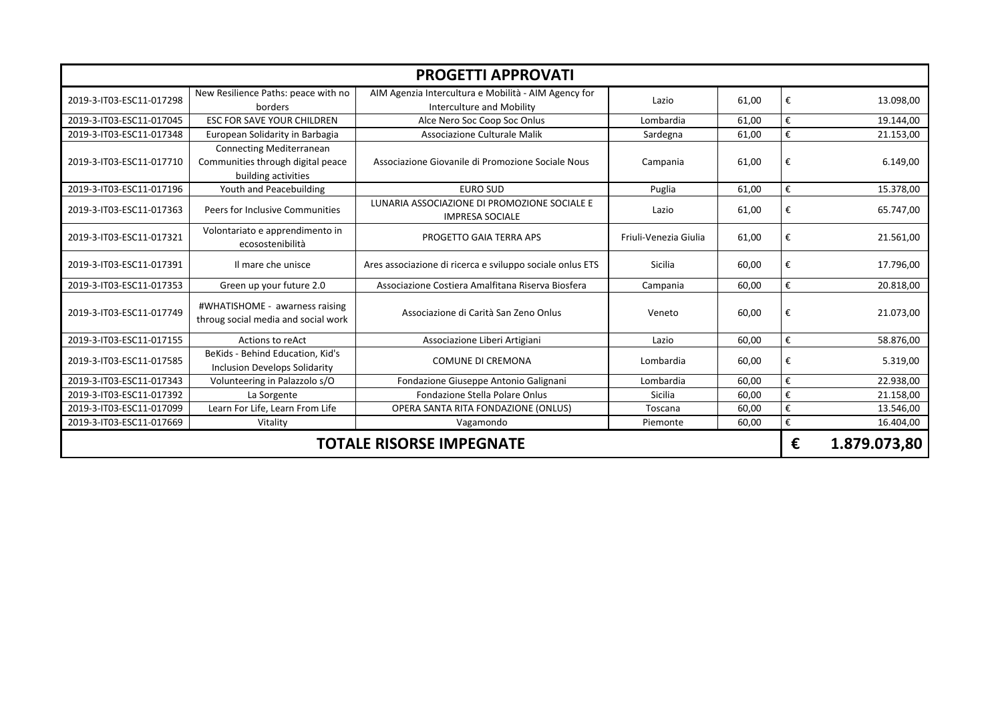| <b>PROGETTI APPROVATI</b>       |                                                                                             |                                                                                   |                       |       |                         |              |  |
|---------------------------------|---------------------------------------------------------------------------------------------|-----------------------------------------------------------------------------------|-----------------------|-------|-------------------------|--------------|--|
| 2019-3-IT03-ESC11-017298        | New Resilience Paths: peace with no<br>borders                                              | AIM Agenzia Intercultura e Mobilità - AIM Agency for<br>Interculture and Mobility | Lazio                 | 61,00 | €                       | 13.098,00    |  |
| 2019-3-IT03-ESC11-017045        | <b>ESC FOR SAVE YOUR CHILDREN</b>                                                           | Alce Nero Soc Coop Soc Onlus                                                      | Lombardia             | 61,00 | €                       | 19.144,00    |  |
| 2019-3-IT03-ESC11-017348        | European Solidarity in Barbagia                                                             | Associazione Culturale Malik                                                      | Sardegna              | 61,00 | €                       | 21.153,00    |  |
| 2019-3-IT03-ESC11-017710        | <b>Connecting Mediterranean</b><br>Communities through digital peace<br>building activities | Associazione Giovanile di Promozione Sociale Nous                                 | Campania              | 61,00 | €                       | 6.149,00     |  |
| 2019-3-IT03-ESC11-017196        | Youth and Peacebuilding                                                                     | <b>EURO SUD</b>                                                                   | Puglia                | 61,00 | €                       | 15.378,00    |  |
| 2019-3-IT03-ESC11-017363        | Peers for Inclusive Communities                                                             | LUNARIA ASSOCIAZIONE DI PROMOZIONE SOCIALE E<br><b>IMPRESA SOCIALE</b>            | Lazio                 | 61,00 | €                       | 65.747,00    |  |
| 2019-3-IT03-ESC11-017321        | Volontariato e apprendimento in<br>ecosostenibilità                                         | PROGETTO GAIA TERRA APS                                                           | Friuli-Venezia Giulia | 61,00 | €                       | 21.561,00    |  |
| 2019-3-IT03-ESC11-017391        | Il mare che unisce                                                                          | Ares associazione di ricerca e sviluppo sociale onlus ETS                         | Sicilia               | 60,00 | €                       | 17.796,00    |  |
| 2019-3-IT03-ESC11-017353        | Green up your future 2.0                                                                    | Associazione Costiera Amalfitana Riserva Biosfera                                 | Campania              | 60,00 | €                       | 20.818,00    |  |
| 2019-3-IT03-ESC11-017749        | #WHATISHOME - awarness raising<br>throug social media and social work                       | Associazione di Carità San Zeno Onlus                                             | Veneto                | 60,00 | €                       | 21.073,00    |  |
| 2019-3-IT03-ESC11-017155        | Actions to reAct                                                                            | Associazione Liberi Artigiani                                                     | Lazio                 | 60,00 | €                       | 58.876,00    |  |
| 2019-3-IT03-ESC11-017585        | BeKids - Behind Education, Kid's<br><b>Inclusion Develops Solidarity</b>                    | <b>COMUNE DI CREMONA</b>                                                          | Lombardia             | 60,00 | €                       | 5.319,00     |  |
| 2019-3-IT03-ESC11-017343        | Volunteering in Palazzolo s/O                                                               | Fondazione Giuseppe Antonio Galignani                                             | Lombardia             | 60,00 | €                       | 22.938,00    |  |
| 2019-3-IT03-ESC11-017392        | La Sorgente                                                                                 | Fondazione Stella Polare Onlus                                                    | <b>Sicilia</b>        | 60,00 | $\boldsymbol{\epsilon}$ | 21.158,00    |  |
| 2019-3-IT03-ESC11-017099        | Learn For Life, Learn From Life                                                             | OPERA SANTA RITA FONDAZIONE (ONLUS)                                               | Toscana               | 60,00 | €                       | 13.546,00    |  |
| 2019-3-IT03-ESC11-017669        | Vitality                                                                                    | Vagamondo                                                                         | Piemonte              | 60,00 | €                       | 16.404,00    |  |
| <b>TOTALE RISORSE IMPEGNATE</b> |                                                                                             |                                                                                   |                       |       | €                       | 1.879.073,80 |  |